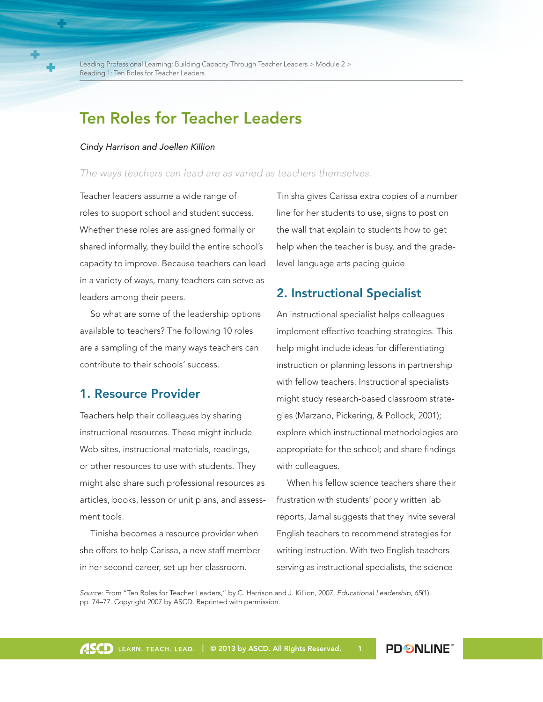# Ten Roles for Teacher Leaders

#### *Cindy Harrison and Joellen Killion*

#### *The ways teachers can lead are as varied as teachers themselves.*

Teacher leaders assume a wide range of roles to support school and student success. Whether these roles are assigned formally or shared informally, they build the entire school's capacity to improve. Because teachers can lead in a variety of ways, many teachers can serve as leaders among their peers.

So what are some of the leadership options available to teachers? The following 10 roles are a sampling of the many ways teachers can contribute to their schools' success.

### 1. Resource Provider

Teachers help their colleagues by sharing instructional resources. These might include Web sites, instructional materials, readings, or other resources to use with students. They might also share such professional resources as articles, books, lesson or unit plans, and assessment tools.

Tinisha becomes a resource provider when she offers to help Carissa, a new staff member in her second career, set up her classroom.

Tinisha gives Carissa extra copies of a number line for her students to use, signs to post on the wall that explain to students how to get help when the teacher is busy, and the gradelevel language arts pacing guide.

### 2. Instructional Specialist

An instructional specialist helps colleagues implement effective teaching strategies. This help might include ideas for differentiating instruction or planning lessons in partnership with fellow teachers. Instructional specialists might study research-based classroom strategies (Marzano, Pickering, & Pollock, 2001); explore which instructional methodologies are appropriate for the school; and share findings with colleagues.

When his fellow science teachers share their frustration with students' poorly written lab reports, Jamal suggests that they invite several English teachers to recommend strategies for writing instruction. With two English teachers serving as instructional specialists, the science

*Source*: From "Ten Roles for Teacher Leaders," by C. Harrison and J. Killion, 2007, *Educational Leadership*, *65*(1), pp. 74–77. Copyright 2007 by ASCD. Reprinted with permission.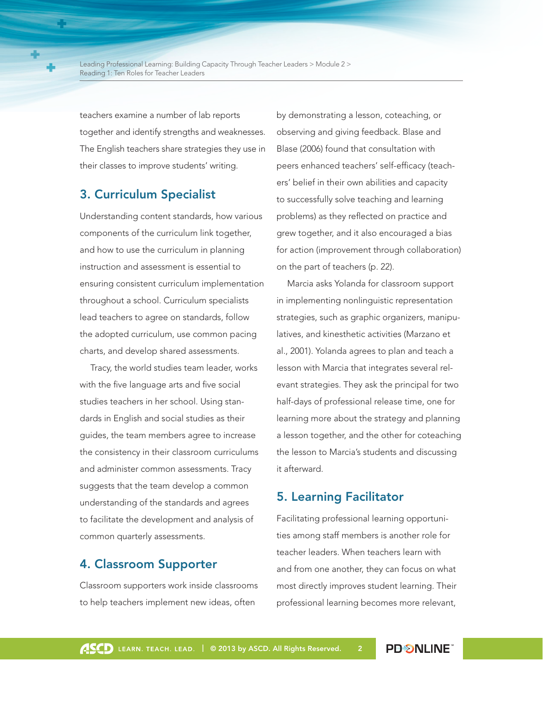teachers examine a number of lab reports together and identify strengths and weaknesses. The English teachers share strategies they use in their classes to improve students' writing.

## 3. Curriculum Specialist

Understanding content standards, how various components of the curriculum link together, and how to use the curriculum in planning instruction and assessment is essential to ensuring consistent curriculum implementation throughout a school. Curriculum specialists lead teachers to agree on standards, follow the adopted curriculum, use common pacing charts, and develop shared assessments.

Tracy, the world studies team leader, works with the five language arts and five social studies teachers in her school. Using standards in English and social studies as their guides, the team members agree to increase the consistency in their classroom curriculums and administer common assessments. Tracy suggests that the team develop a common understanding of the standards and agrees to facilitate the development and analysis of common quarterly assessments.

### 4. Classroom Supporter

Classroom supporters work inside classrooms to help teachers implement new ideas, often

by demonstrating a lesson, coteaching, or observing and giving feedback. Blase and Blase (2006) found that consultation with peers enhanced teachers' self-efficacy (teachers' belief in their own abilities and capacity to successfully solve teaching and learning problems) as they reflected on practice and grew together, and it also encouraged a bias for action (improvement through collaboration) on the part of teachers (p. 22).

Marcia asks Yolanda for classroom support in implementing nonlinguistic representation strategies, such as graphic organizers, manipulatives, and kinesthetic activities (Marzano et al., 2001). Yolanda agrees to plan and teach a lesson with Marcia that integrates several relevant strategies. They ask the principal for two half-days of professional release time, one for learning more about the strategy and planning a lesson together, and the other for coteaching the lesson to Marcia's students and discussing it afterward.

### 5. Learning Facilitator

Facilitating professional learning opportunities among staff members is another role for teacher leaders. When teachers learn with and from one another, they can focus on what most directly improves student learning. Their professional learning becomes more relevant,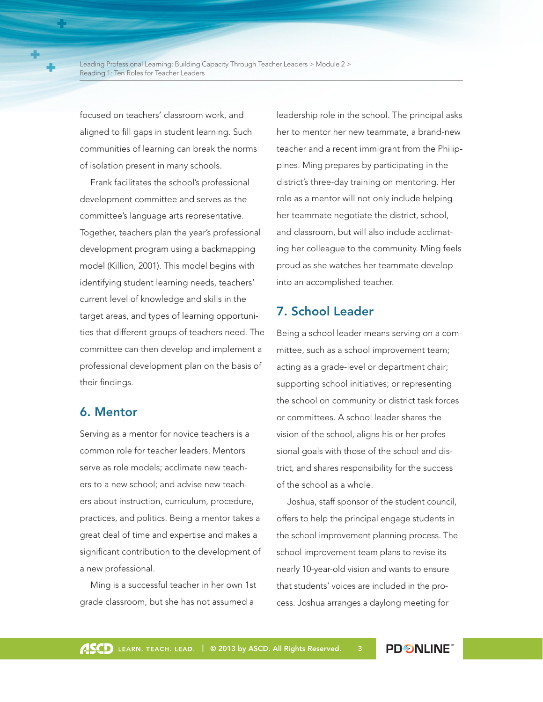focused on teachers' classroom work, and aligned to fill gaps in student learning. Such communities of learning can break the norms of isolation present in many schools.

Frank facilitates the school's professional development committee and serves as the committee's language arts representative. Together, teachers plan the year's professional development program using a backmapping model (Killion, 2001). This model begins with identifying student learning needs, teachers' current level of knowledge and skills in the target areas, and types of learning opportunities that different groups of teachers need. The committee can then develop and implement a professional development plan on the basis of their findings.

#### 6. Mentor

Serving as a mentor for novice teachers is a common role for teacher leaders. Mentors serve as role models; acclimate new teachers to a new school; and advise new teachers about instruction, curriculum, procedure, practices, and politics. Being a mentor takes a great deal of time and expertise and makes a significant contribution to the development of a new professional.

Ming is a successful teacher in her own 1st grade classroom, but she has not assumed a

leadership role in the school. The principal asks her to mentor her new teammate, a brand-new teacher and a recent immigrant from the Philippines. Ming prepares by participating in the district's three-day training on mentoring. Her role as a mentor will not only include helping her teammate negotiate the district, school, and classroom, but will also include acclimating her colleague to the community. Ming feels proud as she watches her teammate develop into an accomplished teacher.

### 7. School Leader

Being a school leader means serving on a committee, such as a school improvement team; acting as a grade-level or department chair; supporting school initiatives; or representing the school on community or district task forces or committees. A school leader shares the vision of the school, aligns his or her professional goals with those of the school and district, and shares responsibility for the success of the school as a whole.

Joshua, staff sponsor of the student council, offers to help the principal engage students in the school improvement planning process. The school improvement team plans to revise its nearly 10-year-old vision and wants to ensure that students' voices are included in the process. Joshua arranges a daylong meeting for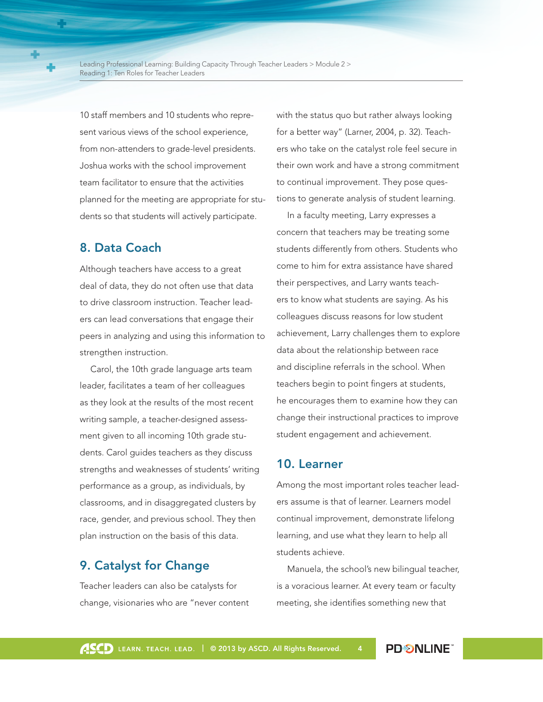10 staff members and 10 students who represent various views of the school experience, from non-attenders to grade-level presidents. Joshua works with the school improvement team facilitator to ensure that the activities planned for the meeting are appropriate for students so that students will actively participate.

## 8. Data Coach

Although teachers have access to a great deal of data, they do not often use that data to drive classroom instruction. Teacher leaders can lead conversations that engage their peers in analyzing and using this information to strengthen instruction.

Carol, the 10th grade language arts team leader, facilitates a team of her colleagues as they look at the results of the most recent writing sample, a teacher-designed assessment given to all incoming 10th grade students. Carol guides teachers as they discuss strengths and weaknesses of students' writing performance as a group, as individuals, by classrooms, and in disaggregated clusters by race, gender, and previous school. They then plan instruction on the basis of this data.

### 9. Catalyst for Change

Teacher leaders can also be catalysts for change, visionaries who are "never content with the status quo but rather always looking for a better way" (Larner, 2004, p. 32). Teachers who take on the catalyst role feel secure in their own work and have a strong commitment to continual improvement. They pose questions to generate analysis of student learning.

In a faculty meeting, Larry expresses a concern that teachers may be treating some students differently from others. Students who come to him for extra assistance have shared their perspectives, and Larry wants teachers to know what students are saying. As his colleagues discuss reasons for low student achievement, Larry challenges them to explore data about the relationship between race and discipline referrals in the school. When teachers begin to point fingers at students, he encourages them to examine how they can change their instructional practices to improve student engagement and achievement.

### 10. Learner

Among the most important roles teacher leaders assume is that of learner. Learners model continual improvement, demonstrate lifelong learning, and use what they learn to help all students achieve.

Manuela, the school's new bilingual teacher, is a voracious learner. At every team or faculty meeting, she identifies something new that